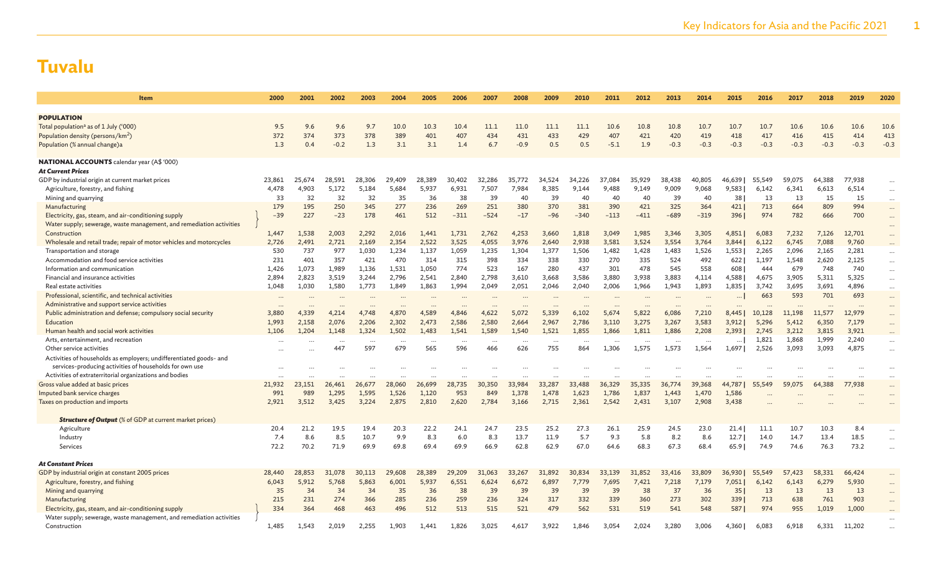| <b>Item</b>                                                             | 2000         | 2001         | 2002           | 2003           | 2004           | 2005           | 2006           | 2007                     | 2008                     | 2009           | 2010           | 2011           | 2012           | 2013           | 2014           | 2015           | 2016           | 2017           | 2018           | 2019           | 2020                 |
|-------------------------------------------------------------------------|--------------|--------------|----------------|----------------|----------------|----------------|----------------|--------------------------|--------------------------|----------------|----------------|----------------|----------------|----------------|----------------|----------------|----------------|----------------|----------------|----------------|----------------------|
| <b>POPULATION</b>                                                       |              |              |                |                |                |                |                |                          |                          |                |                |                |                |                |                |                |                |                |                |                |                      |
| Total population <sup>a</sup> as of 1 July ('000)                       | 9.5          | 9.6          | 9.6            | 9.7            | 10.0           | 10.3           | 10.4           | 11.1                     | 11.0                     | 11.1           | 11.1           | 10.6           | 10.8           | 10.8           | 10.7           | 10.7           | 10.7           | 10.6           | 10.6           | 10.6           | 10.6                 |
| Population density (persons/km <sup>2</sup> )                           | 372          | 374          | 373            | 378            | 389            | 401            | 407            | 434                      | 431                      | 433            | 429            | 407            | 421            | 420            | 419            | 418            | 417            | 416            | 415            | 414            | 413                  |
| Population (% annual change)a                                           | 1.3          | 0.4          | $-0.2$         | 1.3            | 3.1            | 3.1            | 1.4            | 6.7                      | $-0.9$                   | 0.5            | 0.5            | $-5.1$         | 1.9            | $-0.3$         | $-0.3$         | $-0.3$         | $-0.3$         | $-0.3$         | $-0.3$         | $-0.3$         | $-0.3$               |
|                                                                         |              |              |                |                |                |                |                |                          |                          |                |                |                |                |                |                |                |                |                |                |                |                      |
| <b>NATIONAL ACCOUNTS</b> calendar year (A\$ '000)                       |              |              |                |                |                |                |                |                          |                          |                |                |                |                |                |                |                |                |                |                |                |                      |
| <b>At Current Prices</b>                                                |              |              |                |                |                |                |                |                          |                          |                |                |                |                |                |                |                |                |                |                |                |                      |
| GDP by industrial origin at current market prices                       | 23,861       | 25,674       | 28,591         | 28,306         | 29,409         | 28,389         | 30,402         | 32,286                   | 35,772                   | 34.524         | 34,226         | 37,084         | 35,929         | 38,438         | 40,805         | 46,639         | 55,549         | 59,075         | 64,388         | 77,938         |                      |
| Agriculture, forestry, and fishing                                      | 4,478        | 4,903        | 5,172          | 5,184          | 5,684          | 5,937          | 6,931          | 7,507                    | 7.984                    | 8,385          | 9,144          | 9.488          | 9,149          | 9,009          | 9,068          | 9,583          | 6,142          | 6,341          | 6,613          | 6,514          | $\ldots$             |
| Mining and quarrying                                                    | 33           | 32           | 32             | 32             | 35             | 36             | 38             | 39                       | 40                       | 39             | 40             | 40             | 40             | 39             | 40             | 38             | 13             | 13             | 15             | 15             | $\cdots$             |
| Manufacturing                                                           | 179          | 195          | 250            | 345            | 277            | 236            | 269            | 251                      | 380                      | 370            | 381            | 390            | 421            | 325            | 364            | 421            | 713            | 664            | 809            | 994            | $\cdots$             |
| Electricity, gas, steam, and air-conditioning supply                    | $-39$        | 227          | $-23$          | 178            | 461            | 512            | $-311$         | $-524$                   | $-17$                    | $-96$          | $-340$         | $-113$         | $-411$         | $-689$         | $-319$         | 396            | 974            | 782            | 666            | 700            | $\cdots$             |
| Water supply; sewerage, waste management, and remediation activities    |              |              |                |                |                |                |                |                          |                          |                |                |                |                |                |                |                |                |                |                |                | $\cdots$             |
| Construction                                                            | 1,447        | 1,538        | 2,003<br>2,721 | 2,292          | 2,016          | 1,441<br>2,522 | 1,731          | 2,762                    | 4,253<br>3,976           | 3,660          | 1,818          | 3,049<br>3,581 | 1,985          | 3,346          | 3,305<br>3,764 | 4,851          | 6,083<br>6,122 | 7,232          | 7,126          | 12,701         | $\cdots$             |
| Wholesale and retail trade; repair of motor vehicles and motorcycles    | 2,726<br>530 | 2,491<br>737 | 977            | 2,169<br>1,030 | 2,354<br>1,234 | 1,137          | 3,525<br>1,059 | 4,055<br>1,235           | 1,304                    | 2,640<br>1,377 | 2,938<br>1,506 | 1,482          | 3,524<br>1,428 | 3,554<br>1,483 | 1,526          | 3,844<br>1,553 | 2,265          | 6,745<br>2,096 | 7,088<br>2,165 | 9,760<br>2,281 | $\cdots$             |
| Transportation and storage<br>Accommodation and food service activities | 231          | 401          | 357            | 421            | 470            | 314            | 315            | 398                      | 334                      | 338            | 330            | 270            | 335            | 524            | 492            | 622            | 1.197          | 1,548          | 2,620          | 2,125          | $\cdots$             |
| Information and communication                                           | 1,426        | 1,073        | 1,989          | 1,136          | 1,531          | 1,050          | 774            | 523                      | 167                      | 280            | 437            | 301            | 478            | 545            | 558            | 608            | 444            | 679            | 748            | 740            | $\cdots$             |
| Financial and insurance activities                                      | 2,894        | 2,823        | 3,519          | 3,244          | 2,796          | 2,541          | 2,840          | 2,798                    | 3,610                    | 3,668          | 3,586          | 3,880          | 3,938          | 3,883          | 4,114          | 4,588          | 4,675          | 3,905          | 5,311          | 5,325          | $\cdots$<br>$\cdots$ |
| Real estate activities                                                  | 1.048        | 1,030        | 1.580          | 1,773          | 1,849          | 1,863          | 1,994          | 2,049                    | 2,051                    | 2,046          | 2,040          | 2.006          | 1,966          | 1.943          | 1,893          | 1,835          | 3.742          | 3.695          | 3,691          | 4.896          |                      |
| Professional, scientific, and technical activities                      |              |              |                |                |                |                |                |                          |                          |                |                |                |                |                |                |                | 663            | 593            | 701            | 693            | $\cdots$<br>$\cdots$ |
| Administrative and support service activities                           |              |              |                |                |                |                |                |                          |                          |                |                |                |                |                |                |                |                |                |                |                | $\cdots$             |
| Public administration and defense; compulsory social security           | 3,880        | 4,339        | 4,214          | 4,748          | 4,870          | 4,589          | 4,846          | 4,622                    | 5.072                    | 5,339          | 6,102          | 5,674          | 5,822          | 6,086          | 7,210          | 8,445          | 10,128         | 11.198         | 11,577         | 12,979         | $\cdots$             |
| Education                                                               | 1,993        | 2,158        | 2,076          | 2,206          | 2,302          | 2,473          | 2,586          | 2,580                    | 2,664                    | 2,967          | 2,786          | 3,110          | 3,275          | 3,267          | 3,583          | 3,912          | 5,296          | 5,412          | 6,350          | 7,179          | $\cdots$             |
| Human health and social work activities                                 | 1,106        | 1,204        | 1,148          | 1,324          | 1,502          | 1,483          | 1,541          | 1,589                    | 1,540                    | 1,521          | 1,855          | 1,866          | 1,811          | 1,886          | 2,208          | 2,393          | 2,745          | 3,212          | 3,815          | 3,921          | $\cdots$             |
| Arts, entertainment, and recreation                                     |              |              | $\ddotsc$      | $\cdots$       | $\ddotsc$      | $\cdots$       |                | $\overline{\phantom{a}}$ | $\overline{\phantom{a}}$ | $\cdots$       |                |                | $\cdots$       |                |                | $\cdots$       | 1,821          | 1,868          | 1,999          | 2,240          | $\cdots$             |
| Other service activities                                                |              |              | 447            | 597            | 679            | 565            | 596            | 466                      | 626                      | 755            | 864            | 1,306          | 1,575          | 1,573          | 1,564          | 1,697          | 2,526          | 3,093          | 3,093          | 4,875          | $\cdots$             |
| Activities of households as employers; undifferentiated goods- and      |              |              |                |                |                |                |                |                          |                          |                |                |                |                |                |                |                |                |                |                |                |                      |
| services-producing activities of households for own use                 | $\ddotsc$    |              | $\cdots$       |                |                |                |                |                          |                          |                |                |                |                |                |                |                |                |                |                |                | $\cdots$             |
| Activities of extraterritorial organizations and bodies                 |              |              |                |                |                |                | $\ddotsc$      |                          |                          | $\cdots$       |                |                |                |                |                |                |                |                |                |                | $\cdots$             |
| Gross value added at basic prices                                       | 21,932       | 23,151       | 26,461         | 26,677         | 28,060         | 26,699         | 28,735         | 30,350                   | 33,984                   | 33,287         | 33,488         | 36,329         | 35,335         | 36,774         | 39,368         | 44,787         | 55,549         | 59,075         | 64,388         | 77,938         | $\cdots$             |
| Imputed bank service charges                                            | 991          | 989          | 1,295          | 1,595          | 1,526          | 1,120          | 953            | 849                      | 1,378                    | 1,478          | 1,623          | 1,786          | 1,837          | 1,443          | 1,470          | 1,586          |                |                |                |                |                      |
| Taxes on production and imports                                         | 2,921        | 3,512        | 3,425          | 3,224          | 2,875          | 2,810          | 2,620          | 2,784                    | 3,166                    | 2,715          | 2,361          | 2,542          | 2,431          | 3,107          | 2,908          | 3,438          |                |                |                |                |                      |
| <b>Structure of Output</b> (% of GDP at current market prices)          |              |              |                |                |                |                |                |                          |                          |                |                |                |                |                |                |                |                |                |                |                |                      |
| Agriculture                                                             | 20.4         | 21.2         | 19.5           | 19.4           | 20.3           | 22.2           | 24.1           | 24.7                     | 23.5                     | 25.2           | 27.3           | 26.1           | 25.9           | 24.5           | 23.0           | 21.41          | 11.1           | 10.7           | 10.3           | 8.4            | $\cdots$             |
| Industry                                                                | 7.4          | 8.6          | 8.5            | 10.7           | 9.9            | 8.3            | 6.0            | 8.3                      | 13.7                     | 11.9           | 5.7            | 9.3            | 5.8            | 8.2            | 8.6            | 12.7           | 14.0           | 14.7           | 13.4           | 18.5           | $\cdots$             |
| Services                                                                | 72.2         | 70.2         | 71.9           | 69.9           | 69.8           | 69.4           | 69.9           | 66.9                     | 62.8                     | 62.9           | 67.0           | 64.6           | 68.3           | 67.3           | 68.4           | 65.9           | 74.9           | 74.6           | 76.3           | 73.2           |                      |
| <b>At Constant Prices</b>                                               |              |              |                |                |                |                |                |                          |                          |                |                |                |                |                |                |                |                |                |                |                |                      |
| GDP by industrial origin at constant 2005 prices                        | 28,440       | 28,853       | 31,078         | 30,113         | 29,608         | 28,389         | 29,209         | 31,063                   | 33,267                   | 31,892         | 30,834         | 33,139         | 31,852         | 33,416         | 33,809         | 36,930         | 55,549         | 57,423         | 58,331         | 66,424         | $\cdots$             |
| Agriculture, forestry, and fishing                                      | 6,043        | 5,912        | 5,768          | 5,863          | 6,001          | 5,937          | 6,551          | 6,624                    | 6,672                    | 6,897          | 7,779          | 7,695          | 7,421          | 7,218          | 7,179          | 7,051          | 6,142          | 6,143          | 6,279          | 5,930          | $\cdots$             |
| Mining and quarrying                                                    | 35           | 34           | 34             | 34             | 35             | 36             | 38             | 39                       | 39                       | 39             | 39             | 39             | 38             | 37             | 36             | 35             | 13             | 13             | 13             | 13             | $\cdots$             |
| Manufacturing                                                           | 215          | 231          | 274            | 366            | 285            | 236            | 259            | 236                      | 324                      | 317            | 332            | 339            | 360            | 273            | 302            | 339            | 713            | 638            | 761            | 903            | $\cdots$             |
| Electricity, gas, steam, and air-conditioning supply                    | 334          | 364          | 468            | 463            | 496            | 512            | 513            | 515                      | 521                      | 479            | 562            | 531            | 519            | 541            | 548            | 587            | 974            | 955            | 1,019          | 1,000          |                      |
| Water supply; sewerage, waste management, and remediation activities    |              |              |                |                |                |                |                |                          |                          |                |                |                |                |                |                |                |                |                |                |                |                      |
| Construction                                                            | 1,485        | 1.543        | 2,019          | 2,255          | 1.903          | 1.441          | 1,826          | 3.025                    | 4,617                    | 3,922          | 1.846          | 3,054          | 2.024          | 3.280          | 3,006          | 4,360          | 6,083          | 6.918          | 6,331          | 11,202         |                      |
|                                                                         |              |              |                |                |                |                |                |                          |                          |                |                |                |                |                |                |                |                |                |                |                |                      |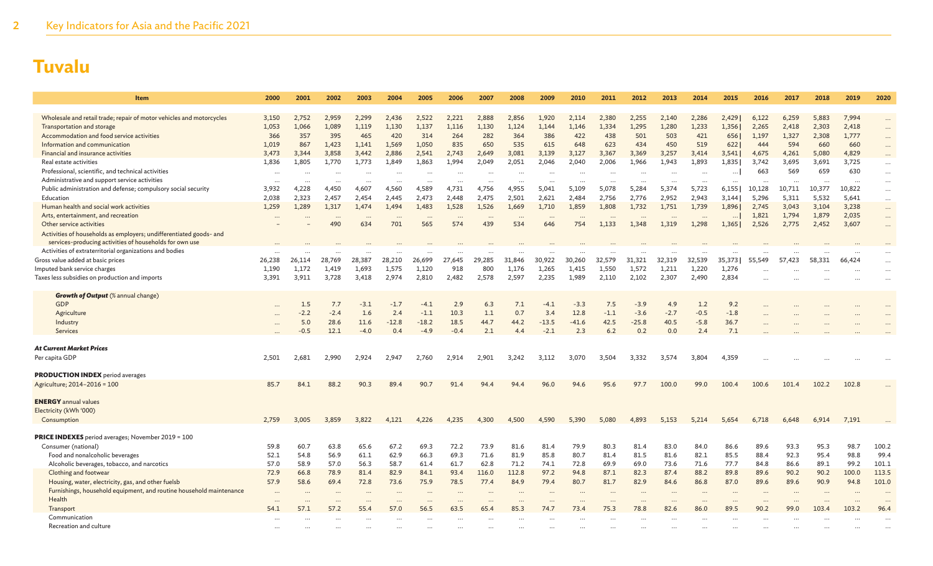| Item                                                                 | 2000                  | 2001           | 2002                  | 2003                  | 2004             | 2005            | 2006            | 2007            | 2008            | 2009                                         | 2010             | 2011           | 2012              | 2013                                 | 2014           | 2015              | 2016            | 2017            | 2018            | 2019            | 2020                 |
|----------------------------------------------------------------------|-----------------------|----------------|-----------------------|-----------------------|------------------|-----------------|-----------------|-----------------|-----------------|----------------------------------------------|------------------|----------------|-------------------|--------------------------------------|----------------|-------------------|-----------------|-----------------|-----------------|-----------------|----------------------|
|                                                                      |                       |                |                       |                       |                  |                 |                 |                 |                 |                                              |                  |                |                   |                                      |                |                   |                 |                 |                 |                 |                      |
| Wholesale and retail trade; repair of motor vehicles and motorcycles | 3,150                 | 2,752          | 2,959                 | 2,299                 | 2.436            | 2,522           | 2.221           | 2.888           | 2,856           | 1.920                                        | 2.114            | 2,380          | 2,255             | 2,140                                | 2,286          | 2,429             | 6,122           | 6,259           | 5,883           | 7,994           |                      |
| Transportation and storage                                           | 1,053                 | 1,066          | 1,089                 | 1,119                 | 1,130            | 1,137           | 1,116           | 1,130           | 1,124           | 1,144                                        | 1,146            | 1,334          | 1,295             | 1,280                                | 1,233          | 1,356             | 2,265           | 2,418           | 2,303           | 2,418           | $\ddots$             |
| Accommodation and food service activities                            | 366                   | 357            | 395                   | 465                   | 420              | 314             | 264             | 282             | 364             | 386                                          | 422              | 438            | 501               | 503                                  | 421            | 656               | 1,197           | 1,327           | 2,308           | 1,777           | $\ddots$             |
| Information and communication                                        | 1,019                 | 867            | 1,423                 | 1,141                 | 1,569            | 1,050           | 835             | 650             | 535             | 615                                          | 648              | 623            | 434               | 450                                  | 519            | 622               | 444             | 594             | 660             | 660             | $\ddots$             |
| Financial and insurance activities                                   | 3.473                 | 3.344          | 3.858                 | 3.442                 | 2.886            | 2.541           | 2.743           | 2.649           | 3.081           | 3.139                                        | 3.127            | 3.367          | 3.369             | 3.257                                | 3.414          | 3.541             | 4,675           | 4,261           | 5,080           | 4.829           |                      |
| Real estate activities                                               | 1,836                 | 1,805          | 1,770                 | 1,773                 | 1,849            | 1,863           | 1,994           | 2,049           | 2,051           | 2,046                                        | 2,040            | 2,006          | 1,966             | 1,943                                | 1,893          | 1,835             | 3,742           | 3,695           | 3,691           | 3,725           | $\cdots$             |
| Professional, scientific, and technical activities                   |                       |                |                       |                       |                  |                 |                 |                 |                 |                                              |                  |                |                   | $\ddotsc$                            |                | $\ldots$          | 663             | 569             | 659             | 630             | $\ddots$             |
| Administrative and support service activities                        |                       |                |                       | $\ddotsc$             |                  |                 | $\cdots$        |                 |                 |                                              |                  |                |                   | $\ddotsc$                            |                | $\ddotsc$         | $\cdots$        | $\cdot \cdot$   |                 |                 | $\cdots$             |
| Public administration and defense; compulsory social security        | 3,932<br>2,038        | 4,228<br>2,323 | 4,450<br>2,457        | 4,607<br>2,454        | 4,560<br>2,445   | 4,589<br>2,473  | 4,731<br>2,448  | 4,756<br>2,475  | 4,955<br>2,501  | 5,041<br>2,621                               | 5,109<br>2,484   | 5,078          | 5,284<br>2,776    | 5,374<br>2,952                       | 5,723<br>2,943 | 6,155             | 10,128<br>5,296 | 10,711<br>5,311 | 10,377<br>5,532 | 10,822<br>5,641 | $\ldots$             |
| Education<br>Human health and social work activities                 | 1,259                 | 1,289          | 1,317                 | 1,474                 | 1.494            | 1,483           | 1,528           | 1,526           | 1,669           | 1,710                                        | 1,859            | 2,756<br>1,808 | 1,732             | 1,751                                | 1,739          | 3,144<br>1,896    | 2,745           | 3,043           | 3,104           | 3,238           | $\cdots$             |
| Arts, entertainment, and recreation                                  |                       |                |                       |                       |                  |                 |                 |                 |                 |                                              |                  |                |                   |                                      |                |                   | 1,821           | 1,794           | 1,879           | 2,035           | $\cdots$             |
| Other service activities                                             | $\cdots$              |                | $\cdots$<br>490       | $\cdots$<br>634       | $\ddotsc$<br>701 | $\ddots$<br>565 | $\cdots$<br>574 | $\cdots$<br>439 | $\cdots$<br>534 | $\cdots$<br>646                              | $\ddotsc$<br>754 | 1,133          | $\cdots$<br>1,348 | $\cdots$<br>1,319                    | 1,298          | $\cdots$<br>1,365 | 2,526           | 2,775           | 2,452           | 3,607           | $\cdots$<br>$\ddots$ |
| Activities of households as employers; undifferentiated goods- and   |                       |                |                       |                       |                  |                 |                 |                 |                 |                                              |                  |                |                   |                                      |                |                   |                 |                 |                 |                 |                      |
| services-producing activities of households for own use              |                       |                |                       |                       |                  |                 |                 |                 |                 |                                              |                  |                |                   |                                      |                |                   |                 |                 |                 |                 |                      |
| Activities of extraterritorial organizations and bodies              |                       |                |                       |                       |                  |                 |                 |                 |                 |                                              |                  |                |                   |                                      |                |                   |                 |                 |                 |                 |                      |
| Gross value added at basic prices                                    | 26,238                | 26,114         | 28,769                | 28,387                | 28,210           | 26,699          | 27,645          | 29,285          | 31,846          | 30,922                                       | 30,260           | 32.579         | 31,321            | 32,319                               | 32,539         | 35,373            | 55,549          | 57,423          | 58,331          | 66,424          | $\ddotsc$            |
| Imputed bank service charges                                         | 1,190                 | 1,172          | 1,419                 | 1,693                 | 1,575            | 1,120           | 918             | 800             | 1,176           | 1,265                                        | 1,415            | 1,550          | 1,572             | 1,211                                | 1,220          | 1,276             |                 |                 |                 |                 | $\ddotsc$            |
| Taxes less subsidies on production and imports                       | 3,391                 | 3,911          | 3,728                 | 3,418                 | 2,974            | 2,810           | 2,482           | 2,578           | 2,597           | 2,235                                        | 1,989            | 2,110          | 2,102             | 2,307                                | 2,490          | 2,834             |                 |                 |                 |                 | $\ddotsc$            |
|                                                                      |                       |                |                       |                       |                  |                 |                 |                 |                 |                                              |                  |                |                   |                                      |                |                   |                 |                 |                 |                 |                      |
| <b>Growth of Output</b> (% annual change)                            |                       |                |                       |                       |                  |                 |                 |                 |                 |                                              |                  |                |                   |                                      |                |                   |                 |                 |                 |                 |                      |
| GDP                                                                  |                       | 1.5            | 7.7                   | $-3.1$                | $-1.7$           | $-4.1$          | 2.9             | 6.3             | 7.1             | $-4.1$                                       | $-3.3$           | 7.5            | $-3.9$            | 4.9                                  | 1.2            | 9.2               |                 |                 |                 |                 |                      |
| Agriculture                                                          | $\ddots$              | $-2.2$         | $-2.4$                | 1.6                   | 2.4              | $-1.1$          | 10.3            | 1.1             | 0.7             | 3.4                                          | 12.8             | $-1.1$         | $-3.6$            | $-2.7$                               | $-0.5$         | $-1.8$            |                 |                 |                 |                 |                      |
| Industry                                                             | $\cdots$              | 5.0            | 28.6                  | 11.6                  | $-12.8$          | $-18.2$         | 18.5            | 44.7            | 44.2            | $-13.5$                                      | $-41.6$          | 42.5           | $-25.8$           | 40.5                                 | $-5.8$         | 36.7              |                 |                 |                 |                 |                      |
| Services                                                             |                       | $-0.5$         | 12.1                  | $-4.0$                | 0.4              | $-4.9$          | $-0.4$          | 2.1             | 4.4             | $-2.1$                                       | 2.3              | 6.2            | 0.2               | 0.0                                  | 2.4            | 7.1               |                 |                 |                 |                 |                      |
| <b>At Current Market Prices</b>                                      |                       |                |                       |                       |                  |                 |                 |                 |                 |                                              |                  |                |                   |                                      |                |                   |                 |                 |                 |                 |                      |
| Per capita GDP                                                       | 2,501                 | 2,681          | 2,990                 | 2,924                 | 2,947            | 2,760           | 2,914           | 2,901           | 3,242           | 3,112                                        | 3,070            | 3,504          | 3,332             | 3,574                                | 3,804          | 4,359             |                 |                 |                 |                 |                      |
|                                                                      |                       |                |                       |                       |                  |                 |                 |                 |                 |                                              |                  |                |                   |                                      |                |                   |                 |                 |                 |                 |                      |
| <b>PRODUCTION INDEX</b> period averages                              |                       |                |                       |                       |                  |                 |                 |                 |                 |                                              |                  |                |                   |                                      |                |                   |                 |                 |                 |                 |                      |
| Agriculture; 2014-2016 = 100                                         | 85.7                  | 84.1           | 88.2                  | 90.3                  | 89.4             | 90.7            | 91.4            | 94.4            | 94.4            | 96.0                                         | 94.6             | 95.6           | 97.7              | 100.0                                | 99.0           | 100.4             | 100.6           | 101.4           | 102.2           | 102.8           |                      |
|                                                                      |                       |                |                       |                       |                  |                 |                 |                 |                 |                                              |                  |                |                   |                                      |                |                   |                 |                 |                 |                 |                      |
| <b>ENERGY</b> annual values                                          |                       |                |                       |                       |                  |                 |                 |                 |                 |                                              |                  |                |                   |                                      |                |                   |                 |                 |                 |                 |                      |
| Electricity (kWh '000)                                               |                       |                |                       |                       |                  |                 |                 |                 |                 |                                              |                  |                |                   |                                      |                |                   |                 |                 |                 |                 |                      |
| Consumption                                                          | 2,759                 | 3,005          | 3.859                 | 3.822                 | 4.121            | 4.226           | 4.235           | 4.300           | 4.500           | 4.590                                        | 5.390            | 5,080          | 4.893             | 5.153                                | 5.214          | 5.654             | 6,718           | 6,648           | 6,914           | 7,191           |                      |
|                                                                      |                       |                |                       |                       |                  |                 |                 |                 |                 |                                              |                  |                |                   |                                      |                |                   |                 |                 |                 |                 |                      |
| <b>PRICE INDEXES</b> period averages; November 2019 = 100            |                       |                |                       |                       |                  |                 |                 |                 |                 |                                              |                  |                |                   |                                      |                |                   |                 |                 |                 |                 |                      |
| Consumer (national)                                                  | 59.8                  | 60.7           | 63.8                  | 65.6                  | 67.2             | 69.3            | 72.2            | 73.9            | 81.6            | 81.4                                         | 79.9             | 80.3           | 81.4              | 83.0                                 | 84.0           | 86.6              | 89.6            | 93.3            | 95.3            | 98.7            | 100.2                |
| Food and nonalcoholic beverages                                      | 52.1                  | 54.8           | 56.9                  | 61.1                  | 62.9             | 66.3            | 69.3            | 71.6            | 81.9            | 85.8                                         | 80.7             | 81.4           | 81.5              | 81.6                                 | 82.1           | 85.5              | 88.4            | 92.3            | 95.4            | 98.8            | 99.4                 |
| Alcoholic beverages, tobacco, and narcotics<br>Clothing and footwear | 57.0<br>72.9          | 58.9<br>66.8   | 57.0<br>78.9          | 56.3<br>81.4          | 58.7<br>82.9     | 61.4            | 61.7<br>93.4    | 62.8<br>116.0   | 71.2<br>112.8   | 74.1<br>97.2                                 | 72.8<br>94.8     | 69.9<br>87.1   | 69.0<br>82.3      | 73.6<br>87.4                         | 71.6<br>88.2   | 77.7<br>89.8      | 84.8<br>89.6    | 86.6<br>90.2    | 89.1<br>90.2    | 99.2<br>100.0   | 101.1<br>113.5       |
| Housing, water, electricity, gas, and other fuelsb                   | 57.9                  | 58.6           | 69.4                  | 72.8                  | 73.6             | 84.1<br>75.9    | 78.5            | 77.4            | 84.9            | 79.4                                         | 80.7             | 81.7           | 82.9              | 84.6                                 | 86.8           | 87.0              | 89.6            | 89.6            | 90.9            | 94.8            | 101.0                |
| Furnishings, household equipment, and routine household maintenance  |                       |                |                       |                       |                  |                 |                 |                 |                 |                                              |                  |                |                   |                                      |                |                   |                 |                 |                 |                 |                      |
| Health                                                               | $\ddotsc$<br>$\ddots$ |                | $\ddotsc$<br>$\cdots$ | $\ddotsc$<br>$\cdots$ | $\ddotsc$        | $\ddots$        | $\ddots$        | $\ddots$        |                 | $\ddot{\phantom{a}}$<br>$\ddot{\phantom{a}}$ | $\ddotsc$        |                | $\ddots$          | $\overline{\phantom{a}}$<br>$\ddots$ | $\ddots$       | $\ddots$          | $\ddotsc$<br>   |                 |                 |                 |                      |
| Transport                                                            | 54.1                  | 57.1           | 57.2                  | 55.4                  | 57.0             | 56.5            | 63.5            | 65.4            | 85.3            | 74.7                                         | 73.4             | 75.3           | 78.8              | 82.6                                 | 86.0           | 89.5              | 90.2            | 99.0            | 103.4           | 103.2           | 96.4                 |
| Communication                                                        |                       |                |                       |                       |                  |                 |                 |                 |                 |                                              |                  |                |                   |                                      |                |                   |                 |                 |                 |                 |                      |
| Recreation and culture                                               |                       |                |                       |                       |                  |                 |                 |                 |                 |                                              |                  |                |                   |                                      |                |                   |                 |                 |                 |                 |                      |
|                                                                      |                       |                |                       |                       |                  |                 |                 |                 |                 |                                              |                  |                |                   |                                      |                |                   |                 |                 |                 |                 |                      |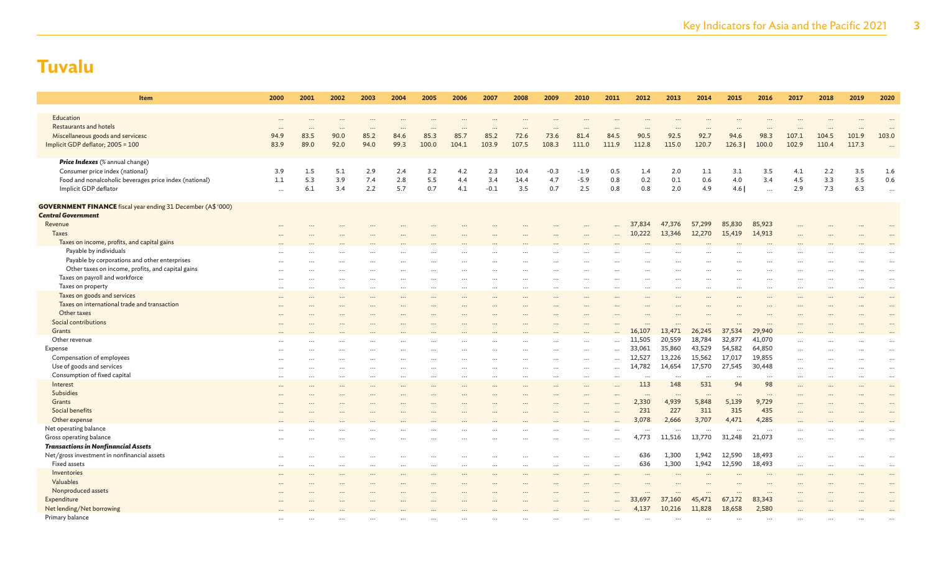| <b>Item</b>                                                         | 2000      | 2001 | 2002      | 2003      | 2004      | 2005     | 2006      | 2007      | 2008     | 2009      | 2010      | 2011     | 2012      | 2013     | 2014            | 2015                 | 2016     | 2017      | 2018     | 2019          | 2020                 |
|---------------------------------------------------------------------|-----------|------|-----------|-----------|-----------|----------|-----------|-----------|----------|-----------|-----------|----------|-----------|----------|-----------------|----------------------|----------|-----------|----------|---------------|----------------------|
| Education                                                           | $\ddotsc$ |      |           |           |           |          |           |           |          |           |           |          |           |          |                 |                      |          |           |          |               |                      |
| <b>Restaurants and hotels</b>                                       | $\ddots$  |      |           |           |           |          |           |           |          |           |           |          |           |          |                 |                      |          |           |          |               |                      |
| Miscellaneous goods and servicesc                                   | 94.9      | 83.5 | 90.0      | 85.2      | 84.6      | 85.3     | 85.7      | 85.2      | 72.6     | 73.6      | 81.4      | 84.5     | 90.5      | 92.5     | 92.7            | 94.6                 | 98.3     | 107.1     | 104.5    | 101.9         | 103.0                |
| Implicit GDP deflator; 2005 = 100                                   | 83.9      | 89.0 | 92.0      | 94.0      | 99.3      | 100.0    | 104.1     | 103.9     | 107.5    | 108.3     | 111.0     | 111.9    | 112.8     | 115.0    | 120.7           | 126.3                | 100.0    | 102.9     | 110.4    | 117.3         | $\ddotsc$            |
| Price Indexes (% annual change)                                     |           |      |           |           |           |          |           |           |          |           |           |          |           |          |                 |                      |          |           |          |               |                      |
| Consumer price index (national)                                     | 3.9       | 1.5  | 5.1       | 2.9       | 2.4       | 3.2      | 4.2       | 2.3       | 10.4     | $-0.3$    | $-1.9$    | 0.5      | 1.4       | 2.0      | 1.1             | 3.1                  | 3.5      | 4.1       | 2.2      | 3.5           | 1.6                  |
| Food and nonalcoholic beverages price index (national)              | 1.1       | 5.3  | 3.9       | 7.4       | 2.8       | 5.5      | 4.4       | 3.4       | 14.4     | 4.7       | $-5.9$    | 0.8      | 0.2       | 0.1      | 0.6             | 4.0                  | 3.4      | 4.5       | 3.3      | 3.5           | 0.6                  |
| Implicit GDP deflator                                               | $\cdots$  | 6.1  | 3.4       | 2.2       | 5.7       | 0.7      | 4.1       | $-0.1$    | 3.5      | 0.7       | 2.5       | 0.8      | 0.8       | 2.0      | 4.9             | 4.6                  | $\ddots$ | 2.9       | 7.3      | 6.3           | $\ldots$             |
| <b>GOVERNMENT FINANCE</b> fiscal year ending 31 December (A\$ '000) |           |      |           |           |           |          |           |           |          |           |           |          |           |          |                 |                      |          |           |          |               |                      |
| <b>Central Government</b>                                           |           |      |           |           |           |          |           |           |          |           |           |          |           |          |                 |                      |          |           |          |               |                      |
| Revenue                                                             |           |      |           |           |           |          |           |           |          |           |           |          | 37,834    | 47,376   | 57,299          | 85,830               | 85,923   |           |          |               |                      |
| <b>Taxes</b>                                                        |           |      |           |           |           |          |           |           |          |           |           |          | 10,222    | 13,346   | 12,270          | 15,419               | 14,913   |           |          |               |                      |
| Taxes on income, profits, and capital gains                         |           |      |           |           |           |          |           |           |          |           |           |          |           |          |                 |                      |          |           |          |               |                      |
| Payable by individuals                                              |           |      |           |           |           |          |           |           |          |           |           |          |           |          |                 |                      |          |           |          |               |                      |
| Payable by corporations and other enterprises                       |           |      |           |           |           |          |           |           |          |           |           |          |           |          |                 |                      |          |           |          |               |                      |
| Other taxes on income, profits, and capital gains                   |           |      |           |           |           |          |           |           |          |           |           |          |           |          |                 |                      |          |           |          |               | $\cdots$             |
| Taxes on payroll and workforce                                      |           |      |           |           |           | $\cdots$ | $\ddotsc$ |           | $\cdots$ | $\ddots$  |           | $\cdots$ | $\ddots$  |          | $\cdots$        | $\ddots$             |          |           |          | $\ddotsc$     | $\cdots$             |
| Taxes on property                                                   | $\ddotsc$ |      | $\ddotsc$ | $\ddotsc$ | $\cdots$  | $\cdots$ | $\ddotsc$ | $\ddotsc$ | $\cdots$ | $\cdots$  |           |          | $\cdots$  |          | $\cdots$        | $\ddotsc$            |          | $\cdots$  | $\cdots$ | $\cdots$      | $\cdots$             |
| Taxes on goods and services                                         | $\ddotsc$ |      | $\ddotsc$ |           |           | $\cdots$ | $\ddotsc$ |           | $\cdots$ | $\ddotsc$ |           | $\cdots$ | $\ddotsc$ |          | $\cdots$        | $\ddotsc$            |          |           | $\cdots$ |               |                      |
| Taxes on international trade and transaction                        |           |      |           |           |           |          |           |           |          |           |           |          |           |          |                 |                      |          |           |          |               | $\ddot{\phantom{a}}$ |
| Other taxes                                                         |           |      |           |           |           |          |           |           |          |           |           |          |           |          |                 |                      |          |           |          |               |                      |
| Social contributions                                                |           |      |           |           |           |          |           |           |          |           |           |          |           |          |                 |                      |          |           |          |               |                      |
| Grants                                                              |           |      |           |           |           |          |           |           |          |           |           |          | 16,107    | 13,471   | 26,245          | 37,534               | 29,940   |           |          |               |                      |
| Other revenue                                                       |           |      |           |           |           |          |           |           |          |           |           |          | 11,505    | 20,559   | 18,784          | 32,877               | 41,070   |           |          |               |                      |
| Expense                                                             |           |      |           |           |           |          |           |           |          |           | $\ddotsc$ | $\cdots$ | 33,061    | 35,860   | 43,529          | 54,582               | 64,850   | $\ddotsc$ |          |               |                      |
| Compensation of employees                                           |           |      |           |           |           |          |           |           |          | .         | $\cdots$  | $\cdots$ | 12,527    | 13,226   | 15,562          | 17,017               | 19,855   | $\cdots$  |          |               | $\ddots$             |
| Use of goods and services                                           |           |      |           |           |           | $\cdots$ |           |           | $\cdots$ |           | $\cdots$  | $\cdots$ | 14,782    | 14,654   | 17,570          | 27,545               | 30,448   | $\cdots$  |          | $\cdot \cdot$ | $\cdots$             |
|                                                                     |           |      |           |           |           | $\cdots$ |           |           | $\cdots$ | $\cdots$  | $\ldots$  | $\cdots$ |           |          |                 |                      |          | $\cdots$  |          | $\cdots$      | $\cdots$             |
| Consumption of fixed capital                                        | $\cdots$  |      |           |           | $\ddotsc$ | $\cdots$ |           | $\ddotsc$ | $\cdots$ | $\cdots$  | $\cdots$  | $\cdots$ | $\cdots$  | $\ddots$ | $\cdots$<br>531 | $\ddots$<br>94       | <br>98   | $\cdots$  | $\cdots$ | $\cdots$      | $\cdots$             |
| Interest<br><b>Subsidies</b>                                        |           |      |           |           |           |          |           |           |          |           |           |          | 113       | 148      |                 |                      |          | $\cdots$  |          |               | $\ddotsc$            |
|                                                                     |           |      |           |           |           |          |           |           |          |           |           |          |           | $\cdots$ |                 | $\ddot{\phantom{a}}$ |          |           |          |               |                      |
| Grants                                                              |           |      |           |           |           |          |           |           |          |           |           |          | 2,330     | 4,939    | 5,848           | 5,139                | 9,729    |           |          |               |                      |
| Social benefits                                                     |           |      |           |           |           |          |           |           |          |           |           |          | 231       | 227      | 311             | 315                  | 435      |           |          |               |                      |
| Other expense                                                       |           |      |           |           |           |          |           |           |          |           |           |          | 3,078     | 2,666    | 3,707           | 4,471                | 4,285    |           |          |               |                      |
| Net operating balance                                               |           |      |           |           |           |          |           |           |          |           |           |          |           | $\cdots$ | $\cdots$        | $\ddots$             | $\ddots$ |           |          |               |                      |
| Gross operating balance                                             |           |      |           |           |           |          |           |           |          |           | $\ddotsc$ |          | 4,773     | 11,516   | 13,770          | 31,248               | 21,073   |           |          |               | $\ddot{\phantom{a}}$ |
| <b>Transactions in Nonfinancial Assets</b>                          |           |      |           |           |           |          |           |           |          |           |           |          |           |          |                 |                      |          |           |          |               |                      |
| Net/gross investment in nonfinancial assets                         | $\cdots$  |      |           |           |           | $\cdots$ | $\cdots$  |           | $\cdots$ | $\cdots$  | $\cdots$  | $\cdots$ | 636       | 1,300    | 1,942           | 12,590               | 18,493   | $\cdots$  |          | $\cdots$      | $\cdots$             |
| <b>Fixed assets</b>                                                 | $\cdots$  |      |           |           |           |          |           |           | $\cdots$ | $\cdots$  | $\ddotsc$ |          | 636       | 1,300    | 1,942           | 12,590               | 18,493   | $\cdots$  |          |               |                      |
| Inventories                                                         |           |      |           |           |           |          |           |           |          | $\cdots$  |           | $\cdots$ | $\ddots$  |          |                 |                      |          |           |          |               | $\cdots$             |
| Valuables                                                           |           |      |           |           |           |          |           |           |          |           |           |          |           |          |                 |                      |          |           |          |               |                      |
| Nonproduced assets                                                  |           |      |           |           |           |          |           |           |          |           |           |          |           |          |                 |                      | $\cdots$ |           |          |               |                      |
| Expenditure                                                         |           |      |           |           |           |          |           |           |          |           |           |          | 33,697    | 37,160   | 45,471          | 67,172               | 83,343   |           |          |               |                      |
| Net lending/Net borrowing                                           |           |      |           |           |           |          |           |           |          |           |           |          | 4,137     | 10,216   | 11,828          | 18,658               | 2,580    |           |          |               |                      |
| Primary balance                                                     |           |      |           |           |           |          |           |           |          |           | $\ddotsc$ |          |           |          |                 |                      |          |           |          |               |                      |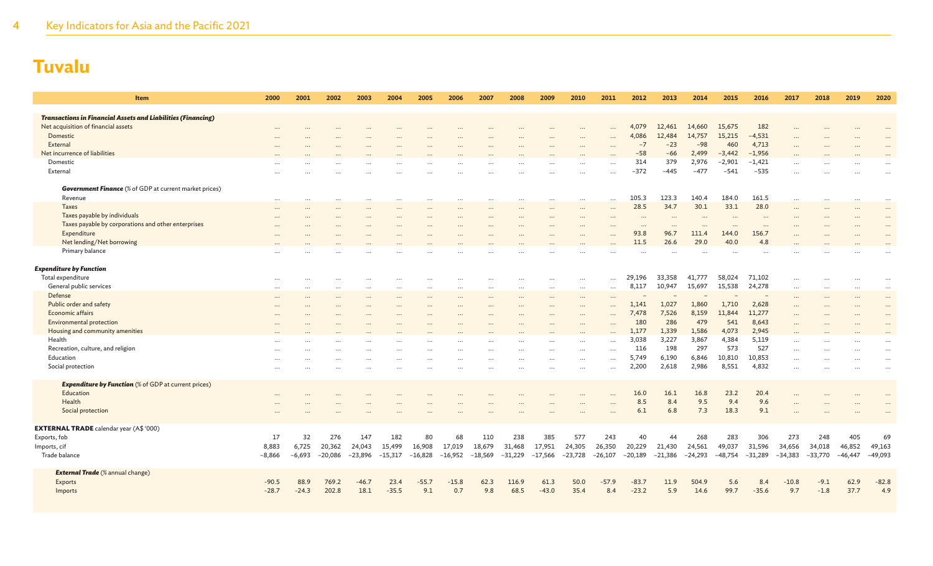| Item                                                                | 2000              | 2001              | 2002                | 2003          | 2004                | 2005                | 2006                | 2007                | 2008                | 2009          | 2010                | 2011          | 2012                | 2013                | 2014                | 2015          | 2016                | 2017          | 2018                | 2019                | 2020                |
|---------------------------------------------------------------------|-------------------|-------------------|---------------------|---------------|---------------------|---------------------|---------------------|---------------------|---------------------|---------------|---------------------|---------------|---------------------|---------------------|---------------------|---------------|---------------------|---------------|---------------------|---------------------|---------------------|
|                                                                     |                   |                   |                     |               |                     |                     |                     |                     |                     |               |                     |               |                     |                     |                     |               |                     |               |                     |                     |                     |
| <b>Transactions in Financial Assets and Liabilities (Financing)</b> |                   |                   |                     |               |                     |                     |                     |                     |                     |               |                     |               |                     |                     |                     |               |                     |               |                     |                     |                     |
| Net acquisition of financial assets                                 |                   |                   |                     |               |                     |                     |                     |                     |                     |               |                     | $\ddotsc$     | 4,079               | 12,461<br>12,484    | 14,660<br>14,757    | 15,675        | 182                 |               |                     |                     |                     |
| Domestic<br>External                                                | $\cdots$          |                   |                     |               |                     |                     |                     |                     |                     |               |                     |               | 4,086<br>$-7$       | $-23$               | $-98$               | 15,215<br>460 | $-4,531$<br>4,713   |               |                     |                     |                     |
| Net incurrence of liabilities                                       |                   |                   |                     |               |                     |                     |                     |                     |                     |               | $\ddotsc$           | $\sim$        | $-58$               | $-66$               | 2,499               | $-3,442$      | $-1,956$            | $\ddotsc$     |                     |                     |                     |
| Domestic                                                            |                   |                   |                     |               |                     |                     |                     |                     |                     |               |                     |               | 314                 | 379                 | 2,976               | $-2,901$      | $-1,421$            | $\cdots$      |                     |                     |                     |
| External                                                            | $\cdots$          |                   |                     |               |                     |                     |                     |                     |                     |               |                     |               | $-372$              | $-445$              | $-477$              | $-541$        | $-535$              |               |                     |                     |                     |
|                                                                     |                   |                   |                     |               |                     |                     |                     |                     |                     |               |                     |               |                     |                     |                     |               |                     |               |                     |                     |                     |
| <b>Government Finance</b> (% of GDP at current market prices)       |                   |                   |                     |               |                     |                     |                     |                     |                     |               |                     |               |                     |                     |                     |               |                     |               |                     |                     |                     |
| Revenue                                                             | $\cdots$          | $\ddots$          |                     |               | $\ddotsc$           |                     | $\ddotsc$           | $\cdots$            |                     |               |                     | $\ddotsc$     | 105.3               | 123.3               | 140.4               | 184.0         | 161.5               | $\cdots$      | $\cdots$            | $\cdots$            |                     |
| <b>Taxes</b>                                                        | $\cdots$          |                   |                     |               |                     |                     |                     |                     |                     |               | $\cdots$            |               | 28.5                | 34.7                | 30.1                | 33.1          | 28.0                | $\ddots$      |                     |                     |                     |
| Taxes payable by individuals                                        | $\cdots$          |                   |                     | $\ddotsc$     |                     | $\cdots$            | $\cdots$            |                     | $\cdots$            | $\cdots$      | $\cdots$            | $\cdots$      | $\cdots$            | $\cdots$            | $\ddotsc$           | $\cdots$      | $\cdots$            | $\cdots$      |                     | $\cdots$            | $\cdots$            |
| Taxes payable by corporations and other enterprises                 |                   |                   |                     |               |                     |                     |                     |                     |                     |               |                     |               |                     |                     |                     |               |                     |               |                     |                     |                     |
| Expenditure                                                         | $\cdots$          |                   |                     |               |                     |                     |                     |                     |                     |               |                     |               | 93.8                | 96.7                | 111.4               | 144.0         | 156.7               |               |                     |                     |                     |
| Net lending/Net borrowing                                           |                   |                   |                     |               |                     |                     |                     |                     |                     |               |                     |               | 11.5                | 26.6                | 29.0                | 40.0          | 4.8                 |               |                     |                     |                     |
| Primary balance                                                     |                   |                   |                     |               |                     |                     |                     |                     |                     |               |                     |               |                     |                     |                     |               |                     |               |                     |                     |                     |
|                                                                     |                   |                   |                     |               |                     |                     |                     |                     |                     |               |                     |               |                     |                     |                     |               |                     |               |                     |                     |                     |
| <b>Expenditure by Function</b>                                      |                   |                   |                     |               |                     |                     |                     |                     |                     |               |                     |               |                     |                     |                     |               |                     |               |                     |                     |                     |
| Total expenditure                                                   | $\cdots$          |                   | $\cdots$            | $\cdots$      | .                   | $\cdots$            | $\cdots$            |                     | $\cdots$            | $\cdots$      | $\cdots$            | $\ddotsc$     | 29.196              | 33,358              | 41,777              | 58,024        | 71,102              |               |                     | $\cdots$            | $\cdots$            |
| General public services                                             | $\cdots$          |                   |                     |               |                     | $\cdots$            |                     |                     |                     |               | $\cdots$            |               | 8,117               | 10,947              | 15,697              | 15,538        | 24,278              | $\cdots$      |                     |                     |                     |
| Defense                                                             | $\cdots$          |                   | $\ddotsc$           | $\ddotsc$     |                     | $\ddotsc$           | $\ddotsc$           |                     | $\ddotsc$           | $\ddotsc$     | $\cdots$            | $\ddotsc$     |                     |                     |                     |               |                     | $\cdots$      |                     |                     | $\cdots$            |
| Public order and safety<br>Economic affairs                         | $\cdots$          |                   |                     |               |                     | $\cdots$            |                     |                     |                     |               | $\cdots$            |               | 1,141               | 1,027               | 1,860               | 1,710         | 2,628               | $\cdots$      |                     |                     | $\cdots$            |
| <b>Environmental protection</b>                                     |                   |                   |                     |               |                     |                     |                     |                     |                     |               |                     |               | 7,478<br>180        | 7,526<br>286        | 8,159<br>479        | 11,844<br>541 | 11,277<br>8,643     | $\ddots$      |                     |                     |                     |
| Housing and community amenities                                     | $\cdots$          |                   |                     |               |                     |                     |                     |                     |                     |               | $\cdots$            |               | 1,177               | 1,339               | 1,586               | 4,073         | 2,945               | $\cdots$      |                     |                     |                     |
| Health                                                              |                   |                   |                     |               |                     |                     | .                   |                     |                     |               | $\cdot$ $\cdot$     | $\sim$        | 3,038               | 3,227               | 3,867               | 4,384         | 5.119               | $\cdots$      |                     |                     |                     |
| Recreation, culture, and religion                                   | $\cdots$          |                   |                     |               |                     |                     |                     |                     |                     | $\cdots$      |                     |               | 116                 | 198                 | 297                 | 573           | 527                 | $\ddots$      |                     |                     | $\cdots$            |
| Education                                                           |                   |                   |                     |               |                     |                     |                     |                     |                     |               |                     |               | 5,749               | 6,190               | 6,846               | 10,810        | 10,853              | $\ddotsc$     |                     |                     | $\ddotsc$           |
| Social protection                                                   | $\cdots$          |                   |                     |               |                     |                     |                     |                     |                     |               | $\cdots$            | $\ddotsc$     | 2,200               | 2,618               | 2,986               | 8,551         | 4,832               |               |                     |                     | $\ddots$            |
|                                                                     |                   |                   |                     |               |                     |                     |                     |                     |                     |               |                     |               |                     |                     |                     |               |                     |               |                     |                     |                     |
| <b>Expenditure by Function</b> (% of GDP at current prices)         |                   |                   |                     |               |                     |                     |                     |                     |                     |               |                     |               |                     |                     |                     |               |                     |               |                     |                     |                     |
| Education                                                           | $\cdots$          |                   |                     |               |                     |                     |                     |                     |                     |               |                     |               | 16.0                | 16.1                | 16.8                | 23.2          | 20.4                | $\cdots$      |                     |                     |                     |
| Health                                                              |                   |                   |                     |               |                     |                     |                     |                     |                     |               |                     |               | 8.5                 | 8.4                 | 9.5                 | 9.4           | 9.6                 |               |                     |                     |                     |
| Social protection                                                   |                   |                   |                     |               |                     |                     |                     |                     |                     |               |                     |               | 6.1                 | 6.8                 | 7.3                 | 18.3          | 9.1                 |               |                     |                     |                     |
|                                                                     |                   |                   |                     |               |                     |                     |                     |                     |                     |               |                     |               |                     |                     |                     |               |                     |               |                     |                     |                     |
| <b>EXTERNAL TRADE</b> calendar year (A\$ '000)                      |                   |                   |                     |               |                     |                     |                     |                     |                     |               |                     |               |                     |                     |                     |               |                     |               |                     |                     |                     |
| Exports, fob                                                        | 17                | 32                | 276                 | 147<br>24,043 | 182                 | 80                  | 68                  | 110                 | 238                 | 385<br>17,951 | 577                 | 243<br>26,350 | 40                  | 44                  | 268                 | 283<br>49,037 | 306                 | 273<br>34,656 | 248                 | 405                 | 69                  |
| Imports, cif<br>Trade balance                                       | 8,883<br>$-8,866$ | 6,725<br>$-6,693$ | 20,362<br>$-20,086$ | $-23,896$     | 15,499<br>$-15,317$ | 16,908<br>$-16,828$ | 17,019<br>$-16,952$ | 18,679<br>$-18,569$ | 31,468<br>$-31,229$ | $-17,566$     | 24,305<br>$-23,728$ | $-26,107$     | 20,229<br>$-20,189$ | 21,430<br>$-21,386$ | 24,561<br>$-24,293$ | $-48,754$     | 31,596<br>$-31,289$ | $-34,383$     | 34,018<br>$-33,770$ | 46,852<br>$-46,447$ | 49,163<br>$-49,093$ |
|                                                                     |                   |                   |                     |               |                     |                     |                     |                     |                     |               |                     |               |                     |                     |                     |               |                     |               |                     |                     |                     |
| <b>External Trade</b> (% annual change)                             |                   |                   |                     |               |                     |                     |                     |                     |                     |               |                     |               |                     |                     |                     |               |                     |               |                     |                     |                     |
| Exports                                                             | $-90.5$           | 88.9              | 769.2               | $-46.7$       | 23.4                | $-55.7$             | $-15.8$             | 62.3                | 116.9               | 61.3          | 50.0                | $-57.9$       | $-83.7$             | 11.9                | 504.9               | 5.6           | 8.4                 | $-10.8$       | $-9.1$              | 62.9                | $-82.8$             |
| Imports                                                             | $-28.7$           | $-24.3$           | 202.8               | 18.1          | $-35.5$             | 9.1                 | 0.7                 | 9.8                 | 68.5                | $-43.0$       | 35.4                | 8.4           | $-23.2$             | 5.9                 | 14.6                | 99.7          | $-35.6$             | 9.7           | $-1.8$              | 37.7                | 4.9                 |
|                                                                     |                   |                   |                     |               |                     |                     |                     |                     |                     |               |                     |               |                     |                     |                     |               |                     |               |                     |                     |                     |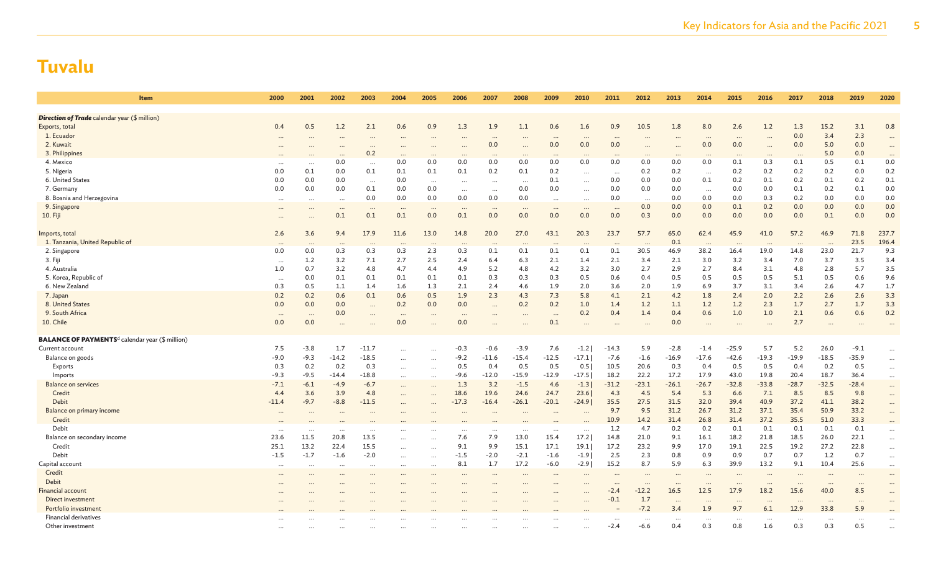| <b>Item</b>                                                       | 2000                 | 2001             | 2002                 | 2003                 | 2004                 | 2005                 | 2006            | 2007                 | 2008             | 2009             | 2010                     | 2011        | 2012        | 2013       | 2014        | 2015                 | 2016        | 2017        | 2018        | 2019        | 2020                 |
|-------------------------------------------------------------------|----------------------|------------------|----------------------|----------------------|----------------------|----------------------|-----------------|----------------------|------------------|------------------|--------------------------|-------------|-------------|------------|-------------|----------------------|-------------|-------------|-------------|-------------|----------------------|
| <b>Direction of Trade</b> calendar year (\$ million)              |                      |                  |                      |                      |                      |                      |                 |                      |                  |                  |                          |             |             |            |             |                      |             |             |             |             |                      |
| Exports, total                                                    | 0.4                  | 0.5              | 1.2                  | 2.1                  | 0.6                  | 0.9                  | 1.3             | 1.9                  | 1.1              | 0.6              | 1.6                      | 0.9         | 10.5        | 1.8        | 8.0         | 2.6                  | 1.2         | 1.3         | 15.2        | 3.1         | 0.8                  |
| 1. Ecuador                                                        | $\cdots$             |                  | $\cdots$             | $\cdots$             |                      | $\cdots$             | $\cdots$        | $\ddotsc$            | $\ddotsc$        | $\cdots$         | $\cdots$                 | $\cdots$    |             | $\ddotsc$  |             |                      | $\cdots$    | 0.0         | 3.4         | 2.3         |                      |
| 2. Kuwait                                                         | $\cdots$             |                  |                      | $\cdots$             |                      |                      |                 | 0.0                  | $\cdots$         | 0.0              | 0.0                      | 0.0         |             | $\cdots$   | 0.0         | 0.0                  | $\ddots$    | 0.0         | 5.0         | 0.0         | $\cdots$             |
| 3. Philippines                                                    |                      |                  | $\ddotsc$            | 0.2                  |                      | $\ddotsc$            | $\cdots$        | $\ddot{\phantom{0}}$ | $\cdots$         | $\ddotsc$        |                          | $\cdots$    |             |            |             |                      |             | $\ddotsc$   | 5.0         | 0.0         | $\ddotsc$            |
| 4. Mexico                                                         | $\ddots$             | $\cdots$         | 0.0                  | $\cdots$             | 0.0                  | 0.0                  | 0.0             | 0.0                  | 0.0              | 0.0              | 0.0                      | 0.0         | 0.0         | 0.0        | 0.0         | 0.1                  | 0.3         | 0.1         | 0.5         | 0.1         | 0.0                  |
| 5. Nigeria                                                        | 0.0                  | 0.1              | 0.0                  | 0.1                  | 0.1                  | 0.1                  | 0.1             | 0.2                  | 0.1              | 0.2              | $\cdots$                 |             | 0.2         | 0.2        | $\cdots$    | 0.2                  | 0.2         | 0.2         | 0.2         | 0.0         | 0.2                  |
| 6. United States                                                  | 0.0                  | 0.0              | 0.0                  | $\cdots$             | 0.0                  | $\cdots$             | $\cdots$        | $\ddotsc$            | $\ddots$         | 0.1              | $\cdots$                 | 0.0         | 0.0         | 0.0        | 0.1         | 0.2                  | 0.1         | 0.2         | 0.1         | 0.2         | 0.1                  |
| 7. Germany                                                        | 0.0                  | 0.0              | 0.0                  | 0.1                  | 0.0                  | 0.0                  | $\cdots$        | $\cdots$             | 0.0              | 0.0              | $\cdots$                 | 0.0         | 0.0         | 0.0        | $\cdots$    | 0.0                  | 0.0         | 0.1         | 0.2         | 0.1         | 0.0                  |
| 8. Bosnia and Herzegovina                                         | $\ddots$             |                  | $\cdots$             | 0.0                  | 0.0                  | 0.0                  | 0.0             | 0.0                  | 0.0              |                  | $\ddots$                 | 0.0         | $\cdots$    | 0.0        | 0.0         | 0.0                  | 0.3         | 0.2         | 0.0         | 0.0         | 0.0                  |
| 9. Singapore                                                      | $\cdots$             | $\cdots$         | $\cdots$             | $\cdots$             | $\cdots$             | $\cdots$             | $\cdots$        | $\cdots$             | $\cdots$         | $\cdots$         | $\cdots$                 | $\cdots$    | 0.0         | 0.0        | 0.0         | 0.1                  | 0.2         | 0.0         | 0.0         | 0.0         | 0.0                  |
| 10. Fiji                                                          |                      |                  | 0.1                  | 0.1                  | 0.1                  | 0.0                  | 0.1             | 0.0                  | 0.0              | 0.0              | 0.0                      | 0.0         | 0.3         | 0.0        | 0.0         | 0.0                  | 0.0         | 0.0         | 0.1         | 0.0         | 0.0                  |
| Imports, total                                                    | 2.6                  | 3.6              | 9.4                  | 17.9                 | 11.6                 | 13.0                 | 14.8            | 20.0                 | 27.0             | 43.1             | 20.3                     | 23.7        | 57.7        | 65.0       | 62.4        | 45.9                 | 41.0        | 57.2        | 46.9        | 71.8        | 237.7                |
| 1. Tanzania, United Republic of                                   | $\cdots$             | $\cdots$         | $\cdots$             | $\cdots$             | $\cdot \cdot \cdot$  | $\cdots$             | $\cdots$        | $\cdots$             | $\cdots$         | $\cdots$         | $\cdot$ .                | $\cdots$    |             | 0.1        | $\cdots$    | $\cdots$             | $\cdots$    | $\cdots$    | $\cdots$    | 23.5        | 196.4                |
| 2. Singapore                                                      | 0.0                  | 0.0              | 0.3                  | 0.3                  | 0.3                  | 2.3                  | 0.3             | 0.1                  | 0.1              | 0.1              | 0.1                      | 0.1         | 30.5        | 46.9       | 38.2        | 16.4                 | 19.0        | 14.8        | 23.0        | 21.7        | 9.3                  |
| 3. Fiji                                                           | $\cdots$             | 1.2              | 3.2                  | 7.1                  | 2.7                  | 2.5                  | 2.4             | 6.4                  | 6.3              | 2.1              | 1.4                      | 2.1         | 3.4         | 2.1        | 3.0         | 3.2                  | 3.4         | 7.0         | 3.7         | 3.5         | 3.4                  |
| 4. Australia                                                      | 1.0                  | 0.7              | 3.2                  | 4.8                  | 4.7                  | 4.4                  | 4.9             | 5.2                  | 4.8              | 4.2              | 3.2                      | 3.0         | 2.7         | 2.9        | 2.7         | 8.4                  | 3.1         | 4.8         | 2.8         | 5.7         | 3.5                  |
| 5. Korea, Republic of                                             | $\cdots$             | 0.0              | 0.1                  | 0.1                  | 0.1                  | 0.1                  | 0.1             | 0.3                  | 0.3              | 0.3              | 0.5                      | 0.6         | 0.4         | 0.5        | 0.5         | 0.5                  | 0.5         | 5.1         | 0.5         | 0.6         | 9.6                  |
| 6. New Zealand                                                    | 0.3                  | 0.5              | 1.1                  | 1.4                  | 1.6                  | 1.3                  | 2.1             | 2.4                  | 4.6              | 1.9              | 2.0                      | 3.6         | 2.0         | 1.9        | 6.9         | 3.7                  | 3.1         | 3.4         | 2.6         | 4.7         | 1.7                  |
| 7. Japan                                                          | 0.2                  | 0.2              | 0.6                  | 0.1                  | 0.6                  | 0.5                  | 1.9             | 2.3                  | 4.3              | 7.3              | 5.8                      | 4.1         | 2.1         | 4.2        | 1.8         | 2.4                  | 2.0         | 2.2         | 2.6         | 2.6         | 3.3                  |
| 8. United States                                                  | 0.0                  | 0.0              | 0.0                  |                      | 0.2                  | 0.0                  | 0.0             | $\cdots$             | 0.2              | 0.2              | 1.0                      | 1.4         | 1.2         | 1.1        | 1.2         | 1.2                  | 2.3         | 1.7         | 2.7         | 1.7         | 3.3                  |
| 9. South Africa                                                   | $\cdots$             |                  | 0.0                  | $\cdots$             | $\ddotsc$            |                      | $\cdots$        |                      | $\ddotsc$        |                  | 0.2                      | 0.4         | 1.4         | 0.4        | 0.6         | 1.0                  | 1.0         | 2.1         | 0.6         | 0.6         | 0.2                  |
| 10. Chile                                                         | 0.0                  | 0.0              | $\cdots$             |                      | 0.0                  |                      | 0.0             | $\ddotsc$            | $\ddotsc$        | 0.1              | $\ddots$                 | $\ddots$    |             | 0.0        |             |                      | $\ddots$    | 2.7         |             | $\cdots$    | $\ddots$             |
| <b>BALANCE OF PAYMENTS<sup>d</sup> calendar year (\$ million)</b> |                      |                  |                      |                      |                      |                      |                 |                      |                  |                  |                          |             |             |            |             |                      |             |             |             |             |                      |
| Current account                                                   | 7.5                  | $-3.8$           | 1.7                  | $-11.7$              |                      |                      | $-0.3$          | $-0.6$               | $-3.9$           | 7.6              | $-1.2$                   | $-14.3$     | 5.9         | $-2.8$     | $-1.4$      | $-25.9$              | 5.7         | 5.2         | 26.0        | $-9.1$      | $\cdots$             |
| Balance on goods                                                  | $-9.0$               | $-9.3$           | $-14.2$              | $-18.5$              | $\cdots$             | $\ddots$             | $-9.2$          | $-11.6$              | $-15.4$          | $-12.5$          | $-17.1$                  | $-7.6$      | $-1.6$      | $-16.9$    | $-17.6$     | $-42.6$              | $-19.3$     | $-19.9$     | $-18.5$     | $-35.9$     | $\ldots$             |
| Exports                                                           | 0.3                  | 0.2              | 0.2                  | 0.3                  | $\cdots$             | $\cdots$             | 0.5             | 0.4                  | 0.5              | 0.5              | 0.5                      | 10.5        | 20.6        | 0.3        | 0.4         | 0.5                  | 0.5         | 0.4         | 0.2         | 0.5         | $\cdots$             |
| Imports                                                           | $-9.3$               | $-9.5$           | $-14.4$              | $-18.8$              |                      | $\cdots$             | $-9.6$          | $-12.0$              | $-15.9$          | $-12.9$          | $-17.5$                  | 18.2        | 22.2        | 17.2       | 17.9        | 43.0                 | 19.8        | 20.4        | 18.7        | 36.4        | $\cdots$             |
| <b>Balance on services</b>                                        | $-7.1$               | $-6.1$           | $-4.9$               | $-6.7$               |                      | $\cdots$             | 1.3             | 3.2                  | $-1.5$           | 4.6              | $-1.3$                   | $-31.2$     | $-23.1$     | $-26.1$    | $-26.7$     | $-32.8$              | $-33.8$     | $-28.7$     | $-32.5$     | $-28.4$     | $\cdots$             |
| Credit                                                            | 4.4                  | 3.6              | 3.9                  | 4.8                  |                      | $\cdots$             | 18.6            | 19.6                 | 24.6             | 24.7             | 23.6                     | 4.3         | 4.5         | 5.4        | 5.3         | 6.6                  | 7.1         | 8.5         | 8.5         | 9.8         | $\cdots$             |
| Debit                                                             | $-11.4$              | $-9.7$           | $-8.8$               | $-11.5$              | $\ddotsc$            | $\ddotsc$            | $-17.3$         | $-16.4$              | $-26.1$          | $-20.1$          | $-24.9$                  | 35.5        | 27.5        | 31.5       | 32.0        | 39.4                 | 40.9        | 37.2        | 41.1        | 38.2        | $\cdots$             |
| Balance on primary income                                         | $\ddots$             | $\ddotsc$        | $\cdots$             |                      |                      |                      | $\ddotsc$       | $\sim$               | $\ddotsc$        | $\ddotsc$        | $\overline{\phantom{a}}$ | 9.7         | 9.5         | 31.2       | 26.7        | 31.2                 | 37.1        | 35.4        | 50.9        | 33.2        | $\cdots$             |
| Credit                                                            |                      |                  |                      |                      |                      |                      |                 |                      |                  |                  |                          | 10.9        | 14.2        | 31.4       | 26.8        | 31.4                 | 37.2        | 35.5        | 51.0        | 33.3        | $\cdots$             |
| Debit<br>Balance on secondary income                              | $\cdots$<br>23.6     | $\cdots$<br>11.5 | $\cdots$<br>20.8     | $\cdots$<br>13.5     |                      |                      | $\cdots$<br>7.6 | $\ddots$<br>7.9      | $\ddots$<br>13.0 | $\cdots$<br>15.4 | $\ddots$<br>17.2         | 1.2<br>14.8 | 4.7<br>21.0 | 0.2<br>9.1 | 0.2<br>16.1 | 0.1<br>18.2          | 0.1<br>21.8 | 0.1<br>18.5 | 0.1<br>26.0 | 0.1<br>22.1 | $\cdots$             |
| Credit                                                            | 25.1                 | 13.2             | 22.4                 | 15.5                 |                      | $\cdots$             | 9.1             | 9.9                  | 15.1             | 17.1             | 19.1                     | 17.2        | 23.2        | 9.9        | 17.0        | 19.1                 | 22.5        | 19.2        | 27.2        | 22.8        | $\cdots$             |
| Debit                                                             | $-1.5$               | $-1.7$           | $-1.6$               | $-2.0$               |                      | $\ddots$             | $-1.5$          | $-2.0$               | $-2.1$           | $-1.6$           | $-1.9$                   | 2.5         | 2.3         | 0.8        | 0.9         | 0.9                  | 0.7         | 0.7         | 1.2         | 0.7         | $\cdots$             |
| Capital account                                                   |                      |                  |                      |                      |                      | $\cdots$             | 8.1             | 1.7                  | 17.2             | $-6.0$           | $-2.9$                   | 15.2        | 8.7         | 5.9        | 6.3         | 39.9                 | 13.2        | 9.1         | 10.4        | 25.6        | $\cdots$             |
| Credit                                                            | $\cdots$<br>$\cdots$ | $\cdots$         | $\cdots$<br>$\cdots$ | $\cdots$<br>$\cdots$ | $\cdots$<br>$\cdots$ | $\cdots$<br>$\cdots$ | $\cdots$        | $\ddotsc$            | $\cdots$         |                  | $\cdots$                 | $\cdots$    |             | $\cdots$   |             | $\ddot{\phantom{a}}$ | $\cdots$    |             | $\ddotsc$   | $\cdots$    | $\cdots$<br>$\cdots$ |
| Debit                                                             | $\ddotsc$            |                  |                      | $\cdots$             |                      |                      | $\cdots$        | $\ddotsc$            |                  | $\cdots$         | $\ddots$                 | $\cdots$    | $\cdots$    | $\cdots$   | $\cdots$    | $\cdots$             | $\cdots$    | $\cdots$    | $\cdots$    | $\cdots$    | $\cdots$             |
| <b>Financial account</b>                                          |                      |                  |                      |                      |                      |                      |                 |                      |                  |                  |                          | $-2.4$      | $-12.2$     | 16.5       | 12.5        | 17.9                 | 18.2        | 15.6        | 40.0        | 8.5         |                      |
| Direct investment                                                 |                      |                  |                      |                      |                      |                      |                 |                      |                  |                  |                          | $-0.1$      | 1.7         | $\cdots$   |             |                      | $\cdots$    | $\cdots$    | $\cdots$    | $\cdots$    |                      |
| Portfolio investment                                              |                      |                  |                      |                      |                      |                      |                 |                      |                  |                  |                          |             | $-7.2$      | 3.4        | 1.9         | 9.7                  | 6.1         | 12.9        | 33.8        | 5.9         |                      |
| Financial derivatives                                             |                      |                  |                      |                      |                      |                      |                 |                      |                  |                  |                          |             |             |            |             |                      |             |             |             | $\ddotsc$   |                      |
| Other investment                                                  |                      |                  |                      |                      |                      |                      |                 |                      |                  |                  |                          | $-2.4$      | $-6.6$      | 0.4        | 0.3         | 0.8                  | 1.6         | 0.3         | 0.3         | 0.5         |                      |
|                                                                   |                      |                  |                      |                      |                      |                      |                 |                      |                  |                  |                          |             |             |            |             |                      |             |             |             |             |                      |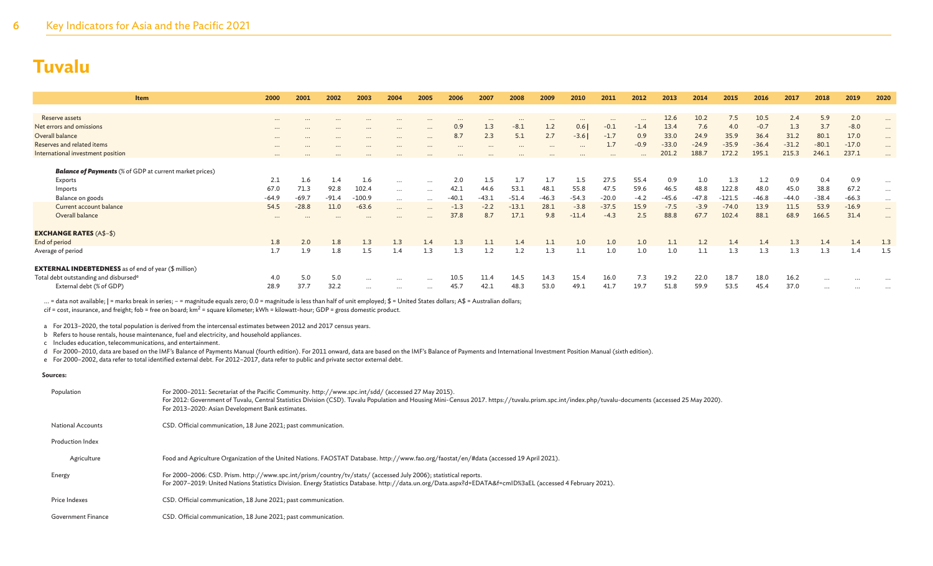| Item                                                           | 2000     | 2001     | 2002     | 2003     | 2004     | 2005     | 2006     | 2007     | 2008     | 2009    | 2010      | 2011     | 2012     | 2013    | 2014    | 2015     | 2016    | 2017    | 2018     | 2019     | 2020     |
|----------------------------------------------------------------|----------|----------|----------|----------|----------|----------|----------|----------|----------|---------|-----------|----------|----------|---------|---------|----------|---------|---------|----------|----------|----------|
|                                                                |          |          |          |          |          |          |          |          |          |         |           |          |          |         |         |          |         |         |          |          |          |
| Reserve assets                                                 | $\cdots$ | $\cdots$ | $\cdots$ | $\cdots$ |          | $\cdots$ |          |          |          |         | $\cdot$ . | $\cdots$ | $\cdots$ | 12.6    | 10.2    | 7.5      | 10.5    | 2.4     | 5.9      | 2.0      | $\cdots$ |
| Net errors and omissions                                       | $\cdots$ | $\cdots$ | $\cdots$ | $\cdots$ | $\cdots$ | $\cdots$ | 0.9      | 1.3      | $-8.1$   | 1.2     | 0.6       | $-0.1$   | $-1.4$   | 13.4    | 7.6     | 4.0      | $-0.7$  | 1.3     | 3.7      | $-8.0$   | $\cdots$ |
| Overall balance                                                | $\cdots$ | $\cdots$ | $\cdots$ | $\cdots$ | $\cdots$ | $\cdots$ | 8.7      | 2.3      | 5.1      | 2.7     | $-3.6$    | $-1.7$   | 0.9      | 33.0    | 24.9    | 35.9     | 36.4    | 31.2    | 80.1     | 17.0     | $\cdots$ |
| Reserves and related items                                     | $\cdots$ | $\cdots$ | $\cdots$ | $\cdots$ |          | $\cdots$ | $\cdots$ | $\cdots$ | $\cdots$ |         | $\cdots$  | 1.7      | $-0.9$   | $-33.0$ | $-24.9$ | $-35.9$  | $-36.4$ | $-31.2$ | $-80.1$  | $-17.0$  | $\cdots$ |
| International investment position                              | $\cdots$ |          |          |          |          |          |          |          |          |         | $\cdots$  |          | $\cdots$ | 201.2   | 188.7   | 172.2    | 195.    | 215.3   | 246.1    | 237.1    | $\cdots$ |
| <b>Balance of Payments</b> (% of GDP at current market prices) |          |          |          |          |          |          |          |          |          |         |           |          |          |         |         |          |         |         |          |          |          |
| Exports                                                        | 2.1      | 1.6      | 1.4      | 1.6      |          |          | 2.0      | 1.5      | 1.7      | 1.7     | 1.5       | 27.5     | 55.4     | 0.9     | 1.0     | 1.3      | 1.2     | 0.9     | 0.4      | 0.9      |          |
| Imports                                                        | 67.0     | 71.3     | 92.8     | 102.4    | $\cdots$ | $\cdots$ | 42.1     | 44.6     | 53.1     | 48.1    | 55.8      | 47.5     | 59.6     | 46.5    | 48.8    | 122.8    | 48.0    | 45.0    | 38.8     | 67.2     | $\cdots$ |
|                                                                |          | $-69.7$  |          | $-100.9$ | $\cdots$ | $\cdots$ | $-40.1$  | $-43.1$  | $-51.4$  |         |           | $-20.0$  |          |         |         | $-121.5$ |         |         | $-38.4$  |          | $\cdots$ |
| Balance on goods                                               | $-64.9$  |          | $-91.4$  |          | $\cdots$ |          |          |          |          | $-46.3$ | $-54.3$   |          | $-4.2$   | $-45.6$ | -47.8   |          | $-46.8$ | $-44.0$ |          | $-66.3$  | $\cdots$ |
| Current account balance                                        | 54.5     | $-28.8$  | 11.0     | $-63.6$  | $\cdots$ | $\cdots$ | $-1.3$   | $-2.2$   | $-13.1$  | 28.1    | $-3.8$    | $-37.5$  | 15.9     | $-7.5$  | $-3.9$  | $-74.0$  | 13.9    | 11.5    | 53.9     | $-16.9$  | $\cdots$ |
| Overall balance                                                | $\cdots$ | $\cdots$ | $\cdots$ | $\cdots$ | $\cdots$ | $\cdots$ | 37.8     | 8.7      | 17.1     | 9.8     | $-11.4$   | $-4.3$   | 2.5      | 88.8    | 67.7    | 102.4    | 88.1    | 68.9    | 166.5    | 31.4     | $\cdots$ |
| <b>EXCHANGE RATES (A\$-\$)</b>                                 |          |          |          |          |          |          |          |          |          |         |           |          |          |         |         |          |         |         |          |          |          |
| End of period                                                  | 1.8      | 2.0      | 1.8      | 1.3      | 1.3      | 1.4      | 1.3      | 1.1      | 1.4      | 1.1     | 1.0       | 1.0      | 1.0      | 1.1     | 1.2     | 1.4      | 1.4     | 1.3     | 1.4      | 1.4      | 1.3      |
| Average of period                                              | 1.7      | 1.9      | 1.8      | 1.5      | 1.4      | 1.3      | 1.3      | 1.2      | 1.2      | 1.3     | 1.1       | 1.0      | $1.0\,$  | 1.0     | 1.1     | 1.3      | 1.3     | 1.3     | 1.3      | 1.4      | 1.5      |
| <b>EXTERNAL INDEBTEDNESS</b> as of end of year (\$ million)    |          |          |          |          |          |          |          |          |          |         |           |          |          |         |         |          |         |         |          |          |          |
| Total debt outstanding and disbursed <sup>e</sup>              | 4.0      | 5.0      | 5.0      | $\cdots$ | $\cdots$ | $\cdots$ | 10.5     | 11.4     | 14.5     | 14.3    | 15.4      | 16.0     | 7.3      | 19.2    | 22.0    | 18.7     | 18.0    | 16.2    | $\cdots$ | $\cdots$ |          |
| External debt (% of GDP)                                       | 28.9     | 37.7     | 32.2     | $\cdots$ | $\cdots$ | $\cdots$ | 45.7     | 42.1     | 48.3     | 53.0    | 49.1      | 41.7     | 19.7     | 51.8    | 59.9    | 53.5     | 45.4    | 37.0    | $\cdots$ | $\cdots$ | $\cdots$ |

... = data not available; | = marks break in series; - = magnitude equals zero; 0.0 = magnitude is less than half of unit employed; \$ = United States dollars; A\$ = Australian dollars;

 $\text{cif} = \text{cost}, \text{ insurance}, \text{and freight}; \text{fob} = \text{free} \text{ on } \text{board}; \text{km}^2 = \text{square} \text{ kilometer}; \text{kWh} = \text{kilowatt-hour}; \text{GDP} = \text{gross domestic product}.$ 

a For 2013–2020, the total population is derived from the intercensal estimates between 2012 and 2017 census years.

b Refers to house rentals, house maintenance, fuel and electricity, and household appliances.

c Includes education, telecommunications, and entertainment.

d For 2000–2010, data are based on the IMF's Balance of Payments Manual (fourth edition). For 2011 onward, data are based on the IMF's Balance of Payments and International Investment Position Manual (sixth edition).

e For 2000–2002, data refer to total identified external debt. For 2012–2017, data refer to public and private sector external debt.

#### **Sources:**

| Population               | For 2000-2011: Secretariat of the Pacific Community. http://www.spc.int/sdd/ (accessed 27 May 2015).<br>For 2012: Government of Tuvalu, Central Statistics Division (CSD). Tuvalu Population and Housing Mini-Census 2017. https://tuvalu.prism.spc.int/index.php/tuvalu-documents (accessed 25 May 2020).<br>For 2013-2020: Asian Development Bank estimates. |
|--------------------------|----------------------------------------------------------------------------------------------------------------------------------------------------------------------------------------------------------------------------------------------------------------------------------------------------------------------------------------------------------------|
| <b>National Accounts</b> | CSD. Official communication, 18 June 2021; past communication.                                                                                                                                                                                                                                                                                                 |
| Production Index         |                                                                                                                                                                                                                                                                                                                                                                |
| Agriculture              | Food and Agriculture Organization of the United Nations. FAOSTAT Database. http://www.fao.org/faostat/en/#data (accessed 19 April 2021).                                                                                                                                                                                                                       |
| Energy                   | For 2000-2006: CSD. Prism. http://www.spc.int/prism/country/tv/stats/ (accessed July 2006); statistical reports.<br>For 2007-2019: United Nations Statistics Division. Energy Statistics Database. http://data.un.org/Data.aspx?d=EDATA&f=cmID%3aEL (accessed 4 February 2021).                                                                                |
| Price Indexes            | CSD. Official communication, 18 June 2021; past communication.                                                                                                                                                                                                                                                                                                 |
| Government Finance       | CSD. Official communication, 18 June 2021; past communication.                                                                                                                                                                                                                                                                                                 |